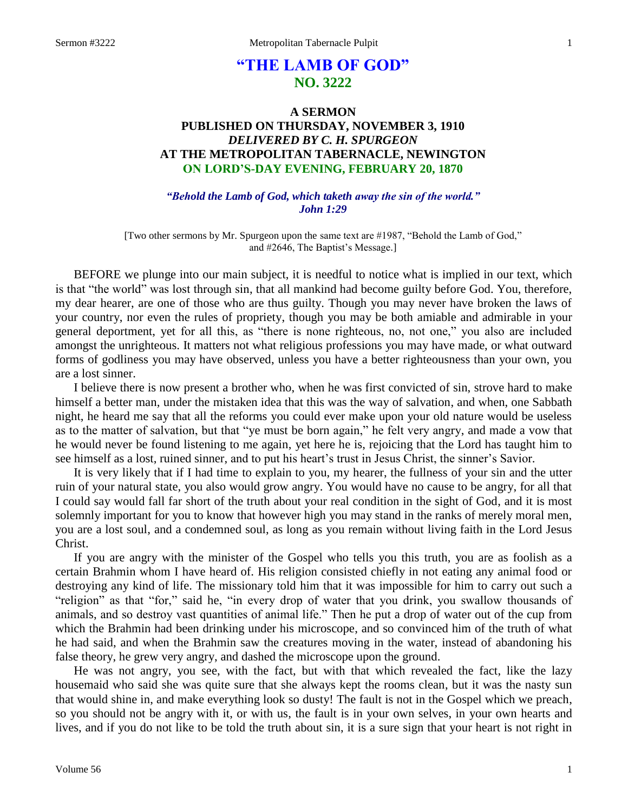# **"THE LAMB OF GOD" NO. 3222**

## **A SERMON PUBLISHED ON THURSDAY, NOVEMBER 3, 1910** *DELIVERED BY C. H. SPURGEON* **AT THE METROPOLITAN TABERNACLE, NEWINGTON ON LORD'S-DAY EVENING, FEBRUARY 20, 1870**

*"Behold the Lamb of God, which taketh away the sin of the world." John 1:29*

[Two other sermons by Mr. Spurgeon upon the same text are #1987, "Behold the Lamb of God," and #2646, The Baptist's Message.]

BEFORE we plunge into our main subject, it is needful to notice what is implied in our text, which is that "the world" was lost through sin, that all mankind had become guilty before God. You, therefore, my dear hearer, are one of those who are thus guilty. Though you may never have broken the laws of your country, nor even the rules of propriety, though you may be both amiable and admirable in your general deportment, yet for all this, as "there is none righteous, no, not one," you also are included amongst the unrighteous. It matters not what religious professions you may have made, or what outward forms of godliness you may have observed, unless you have a better righteousness than your own, you are a lost sinner.

I believe there is now present a brother who, when he was first convicted of sin, strove hard to make himself a better man, under the mistaken idea that this was the way of salvation, and when, one Sabbath night, he heard me say that all the reforms you could ever make upon your old nature would be useless as to the matter of salvation, but that "ye must be born again," he felt very angry, and made a vow that he would never be found listening to me again, yet here he is, rejoicing that the Lord has taught him to see himself as a lost, ruined sinner, and to put his heart's trust in Jesus Christ, the sinner's Savior.

It is very likely that if I had time to explain to you, my hearer, the fullness of your sin and the utter ruin of your natural state, you also would grow angry. You would have no cause to be angry, for all that I could say would fall far short of the truth about your real condition in the sight of God, and it is most solemnly important for you to know that however high you may stand in the ranks of merely moral men, you are a lost soul, and a condemned soul, as long as you remain without living faith in the Lord Jesus Christ.

If you are angry with the minister of the Gospel who tells you this truth, you are as foolish as a certain Brahmin whom I have heard of. His religion consisted chiefly in not eating any animal food or destroying any kind of life. The missionary told him that it was impossible for him to carry out such a "religion" as that "for," said he, "in every drop of water that you drink, you swallow thousands of animals, and so destroy vast quantities of animal life." Then he put a drop of water out of the cup from which the Brahmin had been drinking under his microscope, and so convinced him of the truth of what he had said, and when the Brahmin saw the creatures moving in the water, instead of abandoning his false theory, he grew very angry, and dashed the microscope upon the ground.

He was not angry, you see, with the fact, but with that which revealed the fact, like the lazy housemaid who said she was quite sure that she always kept the rooms clean, but it was the nasty sun that would shine in, and make everything look so dusty! The fault is not in the Gospel which we preach, so you should not be angry with it, or with us, the fault is in your own selves, in your own hearts and lives, and if you do not like to be told the truth about sin, it is a sure sign that your heart is not right in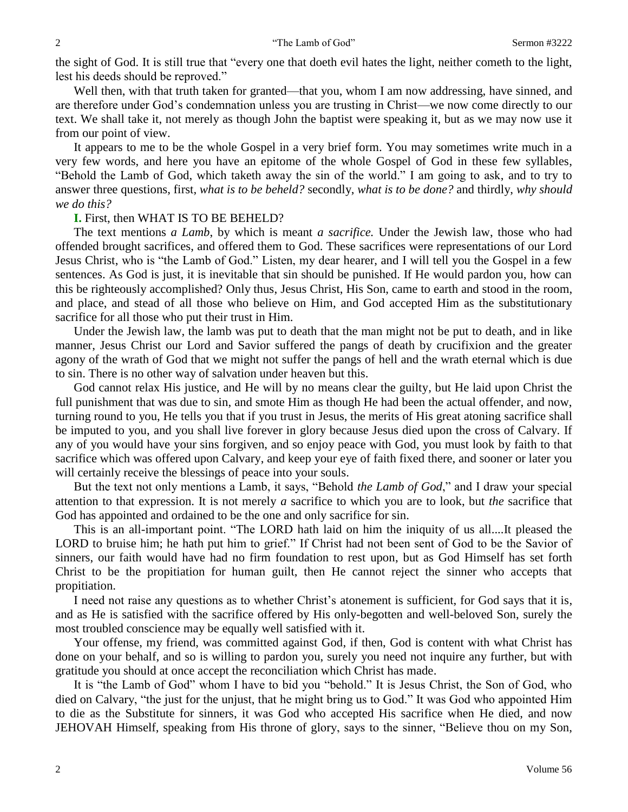the sight of God. It is still true that "every one that doeth evil hates the light, neither cometh to the light, lest his deeds should be reproved."

Well then, with that truth taken for granted—that you, whom I am now addressing, have sinned, and are therefore under God's condemnation unless you are trusting in Christ—we now come directly to our text. We shall take it, not merely as though John the baptist were speaking it, but as we may now use it from our point of view.

It appears to me to be the whole Gospel in a very brief form. You may sometimes write much in a very few words, and here you have an epitome of the whole Gospel of God in these few syllables, "Behold the Lamb of God, which taketh away the sin of the world." I am going to ask, and to try to answer three questions, first, *what is to be beheld?* secondly, *what is to be done?* and thirdly, *why should we do this?*

#### **I.** First, then WHAT IS TO BE BEHELD?

The text mentions *a Lamb*, by which is meant *a sacrifice.* Under the Jewish law, those who had offended brought sacrifices, and offered them to God. These sacrifices were representations of our Lord Jesus Christ, who is "the Lamb of God." Listen, my dear hearer, and I will tell you the Gospel in a few sentences. As God is just, it is inevitable that sin should be punished. If He would pardon you, how can this be righteously accomplished? Only thus, Jesus Christ, His Son, came to earth and stood in the room, and place, and stead of all those who believe on Him, and God accepted Him as the substitutionary sacrifice for all those who put their trust in Him.

Under the Jewish law, the lamb was put to death that the man might not be put to death, and in like manner, Jesus Christ our Lord and Savior suffered the pangs of death by crucifixion and the greater agony of the wrath of God that we might not suffer the pangs of hell and the wrath eternal which is due to sin. There is no other way of salvation under heaven but this.

God cannot relax His justice, and He will by no means clear the guilty, but He laid upon Christ the full punishment that was due to sin, and smote Him as though He had been the actual offender, and now, turning round to you, He tells you that if you trust in Jesus, the merits of His great atoning sacrifice shall be imputed to you, and you shall live forever in glory because Jesus died upon the cross of Calvary. If any of you would have your sins forgiven, and so enjoy peace with God, you must look by faith to that sacrifice which was offered upon Calvary, and keep your eye of faith fixed there, and sooner or later you will certainly receive the blessings of peace into your souls.

But the text not only mentions a Lamb, it says, "Behold *the Lamb of God*," and I draw your special attention to that expression. It is not merely *a* sacrifice to which you are to look, but *the* sacrifice that God has appointed and ordained to be the one and only sacrifice for sin.

This is an all-important point. "The LORD hath laid on him the iniquity of us all....It pleased the LORD to bruise him; he hath put him to grief." If Christ had not been sent of God to be the Savior of sinners, our faith would have had no firm foundation to rest upon, but as God Himself has set forth Christ to be the propitiation for human guilt, then He cannot reject the sinner who accepts that propitiation.

I need not raise any questions as to whether Christ's atonement is sufficient, for God says that it is, and as He is satisfied with the sacrifice offered by His only-begotten and well-beloved Son, surely the most troubled conscience may be equally well satisfied with it.

Your offense, my friend, was committed against God, if then, God is content with what Christ has done on your behalf, and so is willing to pardon you, surely you need not inquire any further, but with gratitude you should at once accept the reconciliation which Christ has made.

It is "the Lamb of God" whom I have to bid you "behold." It is Jesus Christ, the Son of God, who died on Calvary, "the just for the unjust, that he might bring us to God." It was God who appointed Him to die as the Substitute for sinners, it was God who accepted His sacrifice when He died, and now JEHOVAH Himself, speaking from His throne of glory, says to the sinner, "Believe thou on my Son,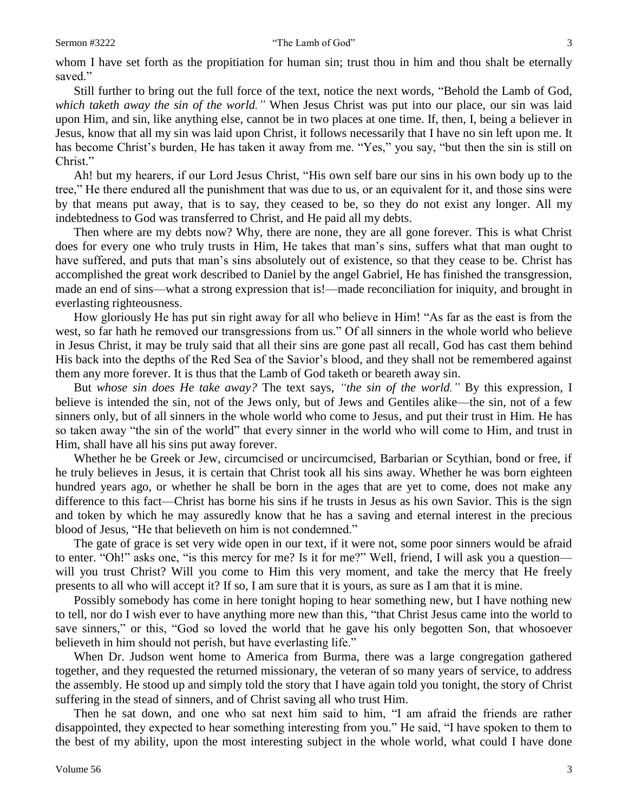#### Sermon #3222 "The Lamb of God" 3

whom I have set forth as the propitiation for human sin; trust thou in him and thou shalt be eternally saved."

Still further to bring out the full force of the text, notice the next words, "Behold the Lamb of God, *which taketh away the sin of the world."* When Jesus Christ was put into our place, our sin was laid upon Him, and sin, like anything else, cannot be in two places at one time. If, then, I, being a believer in Jesus, know that all my sin was laid upon Christ, it follows necessarily that I have no sin left upon me. It has become Christ's burden, He has taken it away from me. "Yes," you say, "but then the sin is still on Christ."

Ah! but my hearers, if our Lord Jesus Christ, "His own self bare our sins in his own body up to the tree," He there endured all the punishment that was due to us, or an equivalent for it, and those sins were by that means put away, that is to say, they ceased to be, so they do not exist any longer. All my indebtedness to God was transferred to Christ, and He paid all my debts.

Then where are my debts now? Why, there are none, they are all gone forever. This is what Christ does for every one who truly trusts in Him, He takes that man's sins, suffers what that man ought to have suffered, and puts that man's sins absolutely out of existence, so that they cease to be. Christ has accomplished the great work described to Daniel by the angel Gabriel, He has finished the transgression, made an end of sins—what a strong expression that is!—made reconciliation for iniquity, and brought in everlasting righteousness.

How gloriously He has put sin right away for all who believe in Him! "As far as the east is from the west, so far hath he removed our transgressions from us." Of all sinners in the whole world who believe in Jesus Christ, it may be truly said that all their sins are gone past all recall, God has cast them behind His back into the depths of the Red Sea of the Savior's blood, and they shall not be remembered against them any more forever. It is thus that the Lamb of God taketh or beareth away sin.

But *whose sin does He take away?* The text says, *"the sin of the world."* By this expression, I believe is intended the sin, not of the Jews only, but of Jews and Gentiles alike—the sin, not of a few sinners only, but of all sinners in the whole world who come to Jesus, and put their trust in Him. He has so taken away "the sin of the world" that every sinner in the world who will come to Him, and trust in Him, shall have all his sins put away forever.

Whether he be Greek or Jew, circumcised or uncircumcised, Barbarian or Scythian, bond or free, if he truly believes in Jesus, it is certain that Christ took all his sins away. Whether he was born eighteen hundred years ago, or whether he shall be born in the ages that are yet to come, does not make any difference to this fact—Christ has borne his sins if he trusts in Jesus as his own Savior. This is the sign and token by which he may assuredly know that he has a saving and eternal interest in the precious blood of Jesus, "He that believeth on him is not condemned."

The gate of grace is set very wide open in our text, if it were not, some poor sinners would be afraid to enter. "Oh!" asks one, "is this mercy for me? Is it for me?" Well, friend, I will ask you a question will you trust Christ? Will you come to Him this very moment, and take the mercy that He freely presents to all who will accept it? If so, I am sure that it is yours, as sure as I am that it is mine.

Possibly somebody has come in here tonight hoping to hear something new, but I have nothing new to tell, nor do I wish ever to have anything more new than this, "that Christ Jesus came into the world to save sinners," or this, "God so loved the world that he gave his only begotten Son, that whosoever believeth in him should not perish, but have everlasting life."

When Dr. Judson went home to America from Burma, there was a large congregation gathered together, and they requested the returned missionary, the veteran of so many years of service, to address the assembly. He stood up and simply told the story that I have again told you tonight, the story of Christ suffering in the stead of sinners, and of Christ saving all who trust Him.

Then he sat down, and one who sat next him said to him, "I am afraid the friends are rather disappointed, they expected to hear something interesting from you." He said, "I have spoken to them to the best of my ability, upon the most interesting subject in the whole world, what could I have done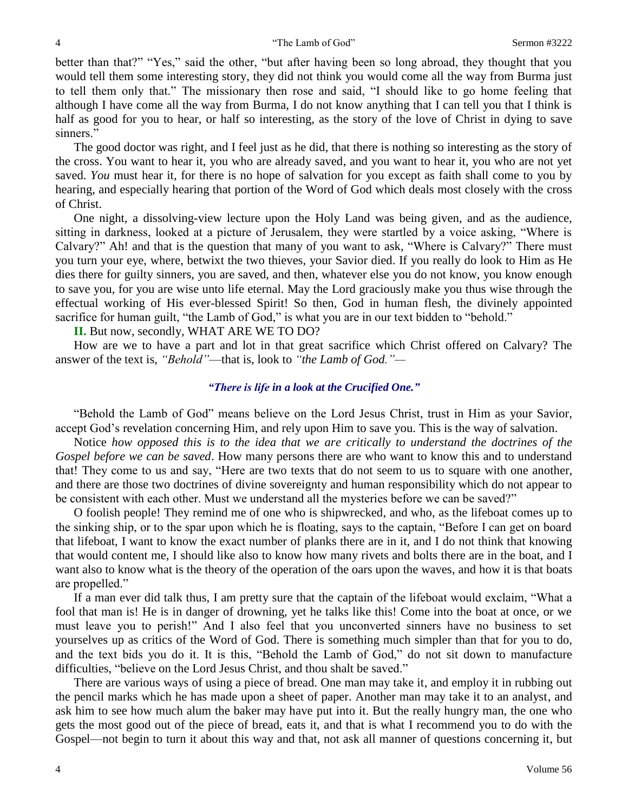better than that?" "Yes," said the other, "but after having been so long abroad, they thought that you would tell them some interesting story, they did not think you would come all the way from Burma just to tell them only that." The missionary then rose and said, "I should like to go home feeling that although I have come all the way from Burma, I do not know anything that I can tell you that I think is half as good for you to hear, or half so interesting, as the story of the love of Christ in dying to save sinners."

The good doctor was right, and I feel just as he did, that there is nothing so interesting as the story of the cross. You want to hear it, you who are already saved, and you want to hear it, you who are not yet saved. *You* must hear it, for there is no hope of salvation for you except as faith shall come to you by hearing, and especially hearing that portion of the Word of God which deals most closely with the cross of Christ.

One night, a dissolving-view lecture upon the Holy Land was being given, and as the audience, sitting in darkness, looked at a picture of Jerusalem, they were startled by a voice asking, "Where is Calvary?" Ah! and that is the question that many of you want to ask, "Where is Calvary?" There must you turn your eye, where, betwixt the two thieves, your Savior died. If you really do look to Him as He dies there for guilty sinners, you are saved, and then, whatever else you do not know, you know enough to save you, for you are wise unto life eternal. May the Lord graciously make you thus wise through the effectual working of His ever-blessed Spirit! So then, God in human flesh, the divinely appointed sacrifice for human guilt, "the Lamb of God," is what you are in our text bidden to "behold."

**II.** But now, secondly, WHAT ARE WE TO DO?

How are we to have a part and lot in that great sacrifice which Christ offered on Calvary? The answer of the text is, *"Behold"*—that is, look to *"the Lamb of God."—*

### *"There is life in a look at the Crucified One."*

"Behold the Lamb of God" means believe on the Lord Jesus Christ, trust in Him as your Savior, accept God's revelation concerning Him, and rely upon Him to save you. This is the way of salvation.

Notice *how opposed this is to the idea that we are critically to understand the doctrines of the Gospel before we can be saved*. How many persons there are who want to know this and to understand that! They come to us and say, "Here are two texts that do not seem to us to square with one another, and there are those two doctrines of divine sovereignty and human responsibility which do not appear to be consistent with each other. Must we understand all the mysteries before we can be saved?"

O foolish people! They remind me of one who is shipwrecked, and who, as the lifeboat comes up to the sinking ship, or to the spar upon which he is floating, says to the captain, "Before I can get on board that lifeboat, I want to know the exact number of planks there are in it, and I do not think that knowing that would content me, I should like also to know how many rivets and bolts there are in the boat, and I want also to know what is the theory of the operation of the oars upon the waves, and how it is that boats are propelled."

If a man ever did talk thus, I am pretty sure that the captain of the lifeboat would exclaim, "What a fool that man is! He is in danger of drowning, yet he talks like this! Come into the boat at once, or we must leave you to perish!" And I also feel that you unconverted sinners have no business to set yourselves up as critics of the Word of God. There is something much simpler than that for you to do, and the text bids you do it. It is this, "Behold the Lamb of God," do not sit down to manufacture difficulties, "believe on the Lord Jesus Christ, and thou shalt be saved."

There are various ways of using a piece of bread. One man may take it, and employ it in rubbing out the pencil marks which he has made upon a sheet of paper. Another man may take it to an analyst, and ask him to see how much alum the baker may have put into it. But the really hungry man, the one who gets the most good out of the piece of bread, eats it, and that is what I recommend you to do with the Gospel—not begin to turn it about this way and that, not ask all manner of questions concerning it, but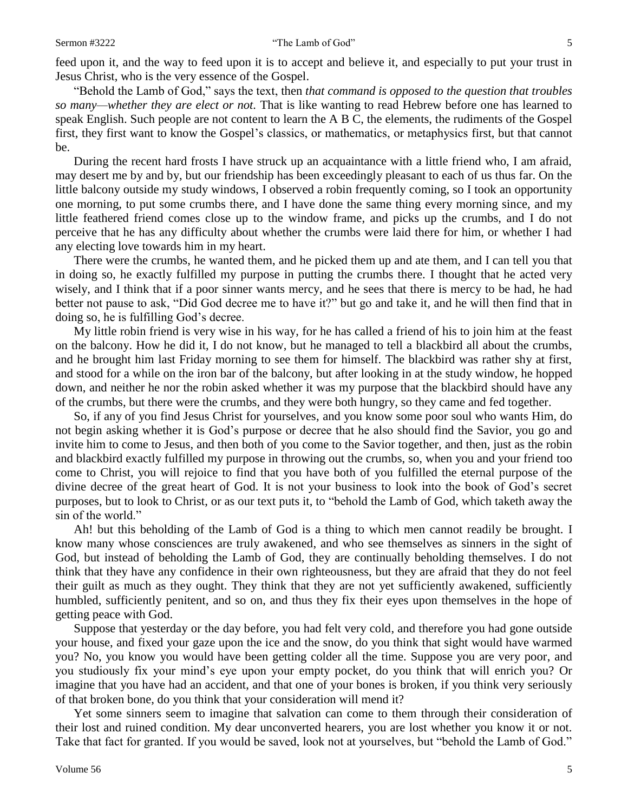#### Sermon #3222 "The Lamb of God" 5

feed upon it, and the way to feed upon it is to accept and believe it, and especially to put your trust in Jesus Christ, who is the very essence of the Gospel.

"Behold the Lamb of God," says the text, then *that command is opposed to the question that troubles so many—whether they are elect or not.* That is like wanting to read Hebrew before one has learned to speak English. Such people are not content to learn the A B C, the elements, the rudiments of the Gospel first, they first want to know the Gospel's classics, or mathematics, or metaphysics first, but that cannot be.

During the recent hard frosts I have struck up an acquaintance with a little friend who, I am afraid, may desert me by and by, but our friendship has been exceedingly pleasant to each of us thus far. On the little balcony outside my study windows, I observed a robin frequently coming, so I took an opportunity one morning, to put some crumbs there, and I have done the same thing every morning since, and my little feathered friend comes close up to the window frame, and picks up the crumbs, and I do not perceive that he has any difficulty about whether the crumbs were laid there for him, or whether I had any electing love towards him in my heart.

There were the crumbs, he wanted them, and he picked them up and ate them, and I can tell you that in doing so, he exactly fulfilled my purpose in putting the crumbs there. I thought that he acted very wisely, and I think that if a poor sinner wants mercy, and he sees that there is mercy to be had, he had better not pause to ask, "Did God decree me to have it?" but go and take it, and he will then find that in doing so, he is fulfilling God's decree.

My little robin friend is very wise in his way, for he has called a friend of his to join him at the feast on the balcony. How he did it, I do not know, but he managed to tell a blackbird all about the crumbs, and he brought him last Friday morning to see them for himself. The blackbird was rather shy at first, and stood for a while on the iron bar of the balcony, but after looking in at the study window, he hopped down, and neither he nor the robin asked whether it was my purpose that the blackbird should have any of the crumbs, but there were the crumbs, and they were both hungry, so they came and fed together.

So, if any of you find Jesus Christ for yourselves, and you know some poor soul who wants Him, do not begin asking whether it is God's purpose or decree that he also should find the Savior, you go and invite him to come to Jesus, and then both of you come to the Savior together, and then, just as the robin and blackbird exactly fulfilled my purpose in throwing out the crumbs, so, when you and your friend too come to Christ, you will rejoice to find that you have both of you fulfilled the eternal purpose of the divine decree of the great heart of God. It is not your business to look into the book of God's secret purposes, but to look to Christ, or as our text puts it, to "behold the Lamb of God, which taketh away the sin of the world."

Ah! but this beholding of the Lamb of God is a thing to which men cannot readily be brought. I know many whose consciences are truly awakened, and who see themselves as sinners in the sight of God, but instead of beholding the Lamb of God, they are continually beholding themselves. I do not think that they have any confidence in their own righteousness, but they are afraid that they do not feel their guilt as much as they ought. They think that they are not yet sufficiently awakened, sufficiently humbled, sufficiently penitent, and so on, and thus they fix their eyes upon themselves in the hope of getting peace with God.

Suppose that yesterday or the day before, you had felt very cold, and therefore you had gone outside your house, and fixed your gaze upon the ice and the snow, do you think that sight would have warmed you? No, you know you would have been getting colder all the time. Suppose you are very poor, and you studiously fix your mind's eye upon your empty pocket, do you think that will enrich you? Or imagine that you have had an accident, and that one of your bones is broken, if you think very seriously of that broken bone, do you think that your consideration will mend it?

Yet some sinners seem to imagine that salvation can come to them through their consideration of their lost and ruined condition. My dear unconverted hearers, you are lost whether you know it or not. Take that fact for granted. If you would be saved, look not at yourselves, but "behold the Lamb of God."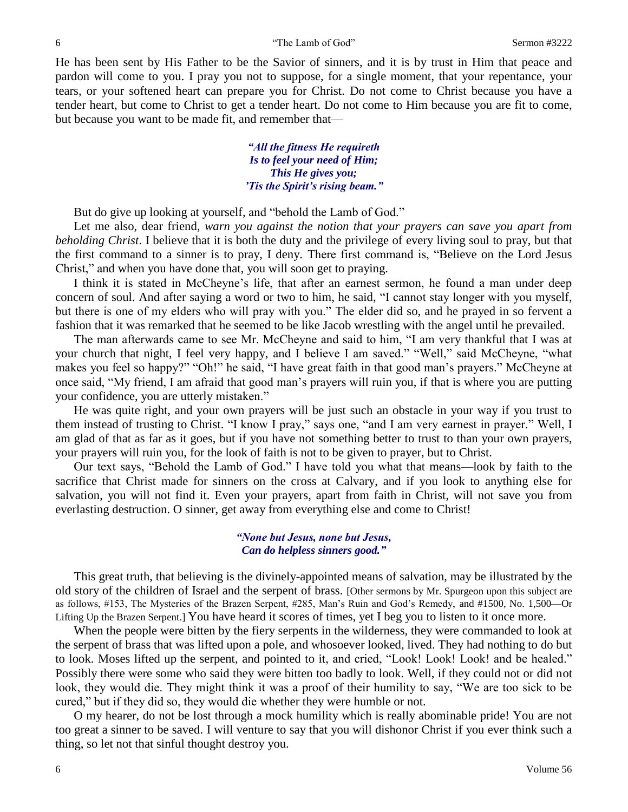He has been sent by His Father to be the Savior of sinners, and it is by trust in Him that peace and pardon will come to you. I pray you not to suppose, for a single moment, that your repentance, your tears, or your softened heart can prepare you for Christ. Do not come to Christ because you have a tender heart, but come to Christ to get a tender heart. Do not come to Him because you are fit to come, but because you want to be made fit, and remember that—

> *"All the fitness He requireth Is to feel your need of Him; This He gives you; 'Tis the Spirit's rising beam."*

But do give up looking at yourself, and "behold the Lamb of God."

Let me also, dear friend, *warn you against the notion that your prayers can save you apart from beholding Christ*. I believe that it is both the duty and the privilege of every living soul to pray, but that the first command to a sinner is to pray, I deny. There first command is, "Believe on the Lord Jesus Christ," and when you have done that, you will soon get to praying.

I think it is stated in McCheyne's life, that after an earnest sermon, he found a man under deep concern of soul. And after saying a word or two to him, he said, "I cannot stay longer with you myself, but there is one of my elders who will pray with you." The elder did so, and he prayed in so fervent a fashion that it was remarked that he seemed to be like Jacob wrestling with the angel until he prevailed.

The man afterwards came to see Mr. McCheyne and said to him, "I am very thankful that I was at your church that night, I feel very happy, and I believe I am saved." "Well," said McCheyne, "what makes you feel so happy?" "Oh!" he said, "I have great faith in that good man's prayers." McCheyne at once said, "My friend, I am afraid that good man's prayers will ruin you, if that is where you are putting your confidence, you are utterly mistaken."

He was quite right, and your own prayers will be just such an obstacle in your way if you trust to them instead of trusting to Christ. "I know I pray," says one, "and I am very earnest in prayer." Well, I am glad of that as far as it goes, but if you have not something better to trust to than your own prayers, your prayers will ruin you, for the look of faith is not to be given to prayer, but to Christ.

Our text says, "Behold the Lamb of God." I have told you what that means—look by faith to the sacrifice that Christ made for sinners on the cross at Calvary, and if you look to anything else for salvation, you will not find it. Even your prayers, apart from faith in Christ, will not save you from everlasting destruction. O sinner, get away from everything else and come to Christ!

#### *"None but Jesus, none but Jesus, Can do helpless sinners good."*

This great truth, that believing is the divinely-appointed means of salvation, may be illustrated by the old story of the children of Israel and the serpent of brass. [Other sermons by Mr. Spurgeon upon this subject are as follows, #153, The Mysteries of the Brazen Serpent, #285, Man's Ruin and God's Remedy, and #1500, No. 1,500—Or Lifting Up the Brazen Serpent.] You have heard it scores of times, yet I beg you to listen to it once more.

When the people were bitten by the fiery serpents in the wilderness, they were commanded to look at the serpent of brass that was lifted upon a pole, and whosoever looked, lived. They had nothing to do but to look. Moses lifted up the serpent, and pointed to it, and cried, "Look! Look! Look! and be healed." Possibly there were some who said they were bitten too badly to look. Well, if they could not or did not look, they would die. They might think it was a proof of their humility to say, "We are too sick to be cured," but if they did so, they would die whether they were humble or not.

O my hearer, do not be lost through a mock humility which is really abominable pride! You are not too great a sinner to be saved. I will venture to say that you will dishonor Christ if you ever think such a thing, so let not that sinful thought destroy you.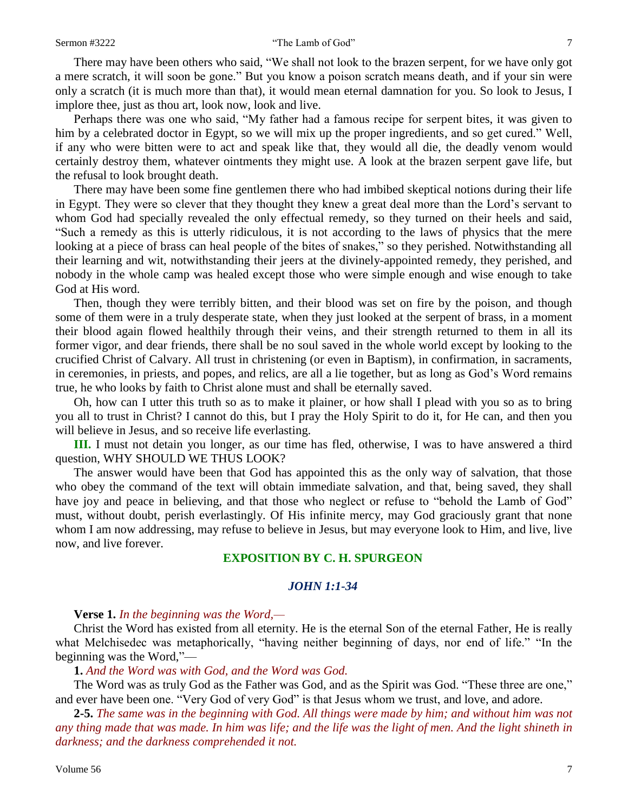There may have been others who said, "We shall not look to the brazen serpent, for we have only got a mere scratch, it will soon be gone." But you know a poison scratch means death, and if your sin were only a scratch (it is much more than that), it would mean eternal damnation for you. So look to Jesus, I implore thee, just as thou art, look now, look and live.

Perhaps there was one who said, "My father had a famous recipe for serpent bites, it was given to him by a celebrated doctor in Egypt, so we will mix up the proper ingredients, and so get cured." Well, if any who were bitten were to act and speak like that, they would all die, the deadly venom would certainly destroy them, whatever ointments they might use. A look at the brazen serpent gave life, but the refusal to look brought death.

There may have been some fine gentlemen there who had imbibed skeptical notions during their life in Egypt. They were so clever that they thought they knew a great deal more than the Lord's servant to whom God had specially revealed the only effectual remedy, so they turned on their heels and said, "Such a remedy as this is utterly ridiculous, it is not according to the laws of physics that the mere looking at a piece of brass can heal people of the bites of snakes," so they perished. Notwithstanding all their learning and wit, notwithstanding their jeers at the divinely-appointed remedy, they perished, and nobody in the whole camp was healed except those who were simple enough and wise enough to take God at His word.

Then, though they were terribly bitten, and their blood was set on fire by the poison, and though some of them were in a truly desperate state, when they just looked at the serpent of brass, in a moment their blood again flowed healthily through their veins, and their strength returned to them in all its former vigor, and dear friends, there shall be no soul saved in the whole world except by looking to the crucified Christ of Calvary. All trust in christening (or even in Baptism), in confirmation, in sacraments, in ceremonies, in priests, and popes, and relics, are all a lie together, but as long as God's Word remains true, he who looks by faith to Christ alone must and shall be eternally saved.

Oh, how can I utter this truth so as to make it plainer, or how shall I plead with you so as to bring you all to trust in Christ? I cannot do this, but I pray the Holy Spirit to do it, for He can, and then you will believe in Jesus, and so receive life everlasting.

**III.** I must not detain you longer, as our time has fled, otherwise, I was to have answered a third question, WHY SHOULD WE THUS LOOK?

The answer would have been that God has appointed this as the only way of salvation, that those who obey the command of the text will obtain immediate salvation, and that, being saved, they shall have joy and peace in believing, and that those who neglect or refuse to "behold the Lamb of God" must, without doubt, perish everlastingly. Of His infinite mercy, may God graciously grant that none whom I am now addressing, may refuse to believe in Jesus, but may everyone look to Him, and live, live now, and live forever.

### **EXPOSITION BY C. H. SPURGEON**

## *JOHN 1:1-34*

#### **Verse 1.** *In the beginning was the Word,—*

Christ the Word has existed from all eternity. He is the eternal Son of the eternal Father, He is really what Melchisedec was metaphorically, "having neither beginning of days, nor end of life." "In the beginning was the Word,"—

**1.** *And the Word was with God, and the Word was God.*

The Word was as truly God as the Father was God, and as the Spirit was God. "These three are one," and ever have been one. "Very God of very God" is that Jesus whom we trust, and love, and adore.

**2-5.** *The same was in the beginning with God. All things were made by him; and without him was not any thing made that was made. In him was life; and the life was the light of men. And the light shineth in darkness; and the darkness comprehended it not.*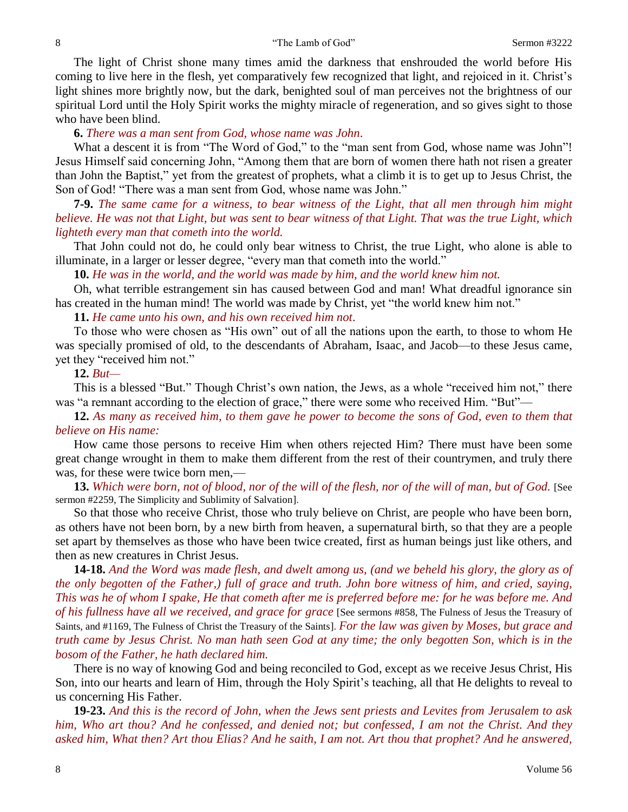The light of Christ shone many times amid the darkness that enshrouded the world before His coming to live here in the flesh, yet comparatively few recognized that light, and rejoiced in it. Christ's light shines more brightly now, but the dark, benighted soul of man perceives not the brightness of our spiritual Lord until the Holy Spirit works the mighty miracle of regeneration, and so gives sight to those who have been blind.

#### **6.** *There was a man sent from God, whose name was John*.

What a descent it is from "The Word of God," to the "man sent from God, whose name was John"! Jesus Himself said concerning John, "Among them that are born of women there hath not risen a greater than John the Baptist," yet from the greatest of prophets, what a climb it is to get up to Jesus Christ, the Son of God! "There was a man sent from God, whose name was John."

**7-9.** *The same came for a witness, to bear witness of the Light, that all men through him might believe. He was not that Light, but was sent to bear witness of that Light. That was the true Light, which lighteth every man that cometh into the world.*

That John could not do, he could only bear witness to Christ, the true Light, who alone is able to illuminate, in a larger or lesser degree, "every man that cometh into the world."

**10.** *He was in the world, and the world was made by him, and the world knew him not.*

Oh, what terrible estrangement sin has caused between God and man! What dreadful ignorance sin has created in the human mind! The world was made by Christ, yet "the world knew him not."

#### **11.** *He came unto his own, and his own received him not*.

To those who were chosen as "His own" out of all the nations upon the earth, to those to whom He was specially promised of old, to the descendants of Abraham, Isaac, and Jacob—to these Jesus came, yet they "received him not."

#### **12.** *But—*

This is a blessed "But." Though Christ's own nation, the Jews, as a whole "received him not," there was "a remnant according to the election of grace," there were some who received Him. "But"—

**12.** *As many as received him, to them gave he power to become the sons of God, even to them that believe on His name:*

How came those persons to receive Him when others rejected Him? There must have been some great change wrought in them to make them different from the rest of their countrymen, and truly there was, for these were twice born men,—

**13.** *Which were born, not of blood, nor of the will of the flesh, nor of the will of man, but of God.* [See sermon #2259, The Simplicity and Sublimity of Salvation].

So that those who receive Christ, those who truly believe on Christ, are people who have been born, as others have not been born, by a new birth from heaven, a supernatural birth, so that they are a people set apart by themselves as those who have been twice created, first as human beings just like others, and then as new creatures in Christ Jesus.

**14-18.** *And the Word was made flesh, and dwelt among us, (and we beheld his glory, the glory as of the only begotten of the Father,) full of grace and truth. John bore witness of him, and cried, saying, This was he of whom I spake, He that cometh after me is preferred before me: for he was before me. And of his fullness have all we received, and grace for grace* [See sermons #858, The Fulness of Jesus the Treasury of Saints, and #1169, The Fulness of Christ the Treasury of the Saints]. *For the law was given by Moses, but grace and truth came by Jesus Christ. No man hath seen God at any time; the only begotten Son, which is in the bosom of the Father, he hath declared him.*

There is no way of knowing God and being reconciled to God, except as we receive Jesus Christ, His Son, into our hearts and learn of Him, through the Holy Spirit's teaching, all that He delights to reveal to us concerning His Father.

**19-23.** *And this is the record of John, when the Jews sent priests and Levites from Jerusalem to ask him, Who art thou? And he confessed, and denied not; but confessed, I am not the Christ. And they asked him, What then? Art thou Elias? And he saith, I am not. Art thou that prophet? And he answered,*